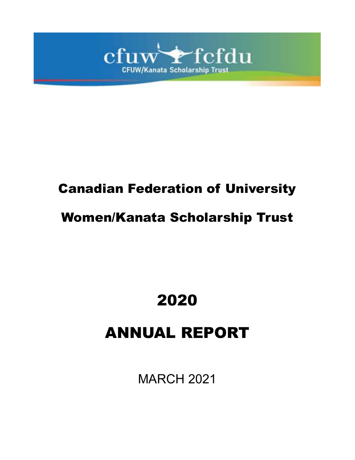

# Canadian Federation of University

# Women/Kanata Scholarship Trust

# 2020

# ANNUAL REPORT

MARCH 2021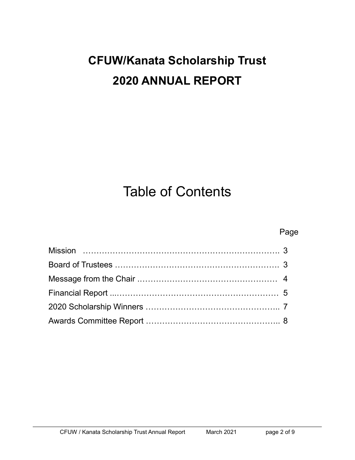# **CFUW/Kanata Scholarship Trust 2020 ANNUAL REPORT**

# Table of Contents

## Page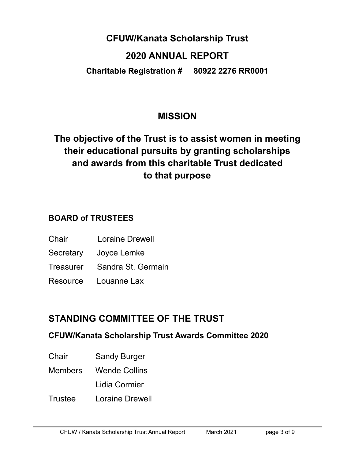## **CFUW/Kanata Scholarship Trust**

### **2020 ANNUAL REPORT**

**Charitable Registration # 80922 2276 RR0001**

## **MISSION**

# **The objective of the Trust is to assist women in meeting their educational pursuits by granting scholarships and awards from this charitable Trust dedicated to that purpose**

### **BOARD of TRUSTEES**

- Chair Loraine Drewell
- Secretary Joyce Lemke
- Treasurer Sandra St. Germain
- Resource Louanne Lax

# **STANDING COMMITTEE OF THE TRUST**

#### **CFUW/Kanata Scholarship Trust Awards Committee 2020**

- Chair Sandy Burger
- Members Wende Collins
	- Lidia Cormier
- Trustee Loraine Drewell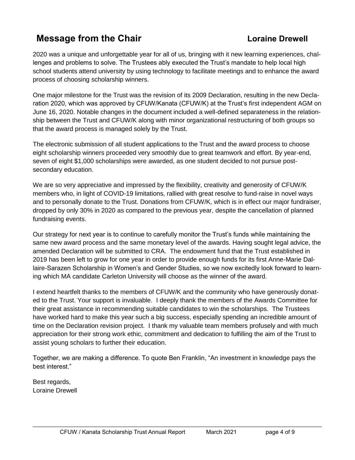## **Message from the Chair <b>Chair Loraine Drewell**

2020 was a unique and unforgettable year for all of us, bringing with it new learning experiences, challenges and problems to solve. The Trustees ably executed the Trust's mandate to help local high school students attend university by using technology to facilitate meetings and to enhance the award process of choosing scholarship winners.

One major milestone for the Trust was the revision of its 2009 Declaration, resulting in the new Declaration 2020, which was approved by CFUW/Kanata (CFUW/K) at the Trust's first independent AGM on June 16, 2020. Notable changes in the document included a well-defined separateness in the relationship between the Trust and CFUW/K along with minor organizational restructuring of both groups so that the award process is managed solely by the Trust.

The electronic submission of all student applications to the Trust and the award process to choose eight scholarship winners proceeded very smoothly due to great teamwork and effort. By year-end, seven of eight \$1,000 scholarships were awarded, as one student decided to not pursue postsecondary education.

We are so very appreciative and impressed by the flexibility, creativity and generosity of CFUW/K members who, in light of COVID-19 limitations, rallied with great resolve to fund-raise in novel ways and to personally donate to the Trust. Donations from CFUW/K, which is in effect our major fundraiser, dropped by only 30% in 2020 as compared to the previous year, despite the cancellation of planned fundraising events.

Our strategy for next year is to continue to carefully monitor the Trust's funds while maintaining the same new award process and the same monetary level of the awards. Having sought legal advice, the amended Declaration will be submitted to CRA. The endowment fund that the Trust established in 2019 has been left to grow for one year in order to provide enough funds for its first Anne-Marie Dallaire-Sarazen Scholarship in Women's and Gender Studies, so we now excitedly look forward to learning which MA candidate Carleton University will choose as the winner of the award.

I extend heartfelt thanks to the members of CFUW/K and the community who have generously donated to the Trust. Your support is invaluable. I deeply thank the members of the Awards Committee for their great assistance in recommending suitable candidates to win the scholarships. The Trustees have worked hard to make this year such a big success, especially spending an incredible amount of time on the Declaration revision project. I thank my valuable team members profusely and with much appreciation for their strong work ethic, commitment and dedication to fulfilling the aim of the Trust to assist young scholars to further their education.

Together, we are making a difference. To quote Ben Franklin, "An investment in knowledge pays the best interest."

Best regards, Loraine Drewell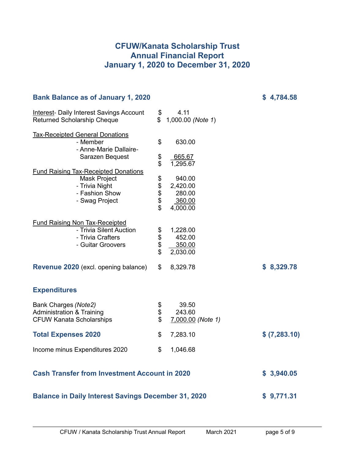#### **CFUW/Kanata Scholarship Trust Annual Financial Report January 1, 2020 to December 31, 2020**

| <b>Bank Balance as of January 1, 2020</b>                                                                         |                         |                                                    | <b>১</b> 4,784.58 |
|-------------------------------------------------------------------------------------------------------------------|-------------------------|----------------------------------------------------|-------------------|
| <b>Interest- Daily Interest Savings Account</b><br><b>Returned Scholarship Cheque</b>                             | \$<br>\$                | 4.11<br>1,000.00 (Note 1)                          |                   |
| <b>Tax-Receipted General Donations</b><br>- Member<br>- Anne-Marie Dallaire-<br>Sarazen Bequest                   | \$<br>\$<br>$\ddot{\$}$ | 630.00<br>665.67<br>1,295.67                       |                   |
| <b>Fund Raising Tax-Receipted Donations</b><br>Mask Project<br>- Trivia Night<br>- Fashion Show<br>- Swag Project | 88888                   | 940.00<br>2,420.00<br>280.00<br>360.00<br>4,000.00 |                   |
| <b>Fund Raising Non Tax-Receipted</b><br>- Trivia Silent Auction<br>- Trivia Crafters<br>- Guitar Groovers        | \$\$\$\$                | 1,228.00<br>452.00<br>350.00<br>2,030.00           |                   |
| <b>Revenue 2020</b> (excl. opening balance)                                                                       | \$                      | 8,329.78                                           | \$8,329.78        |
| <b>Expenditures</b>                                                                                               |                         |                                                    |                   |
| Bank Charges (Note2)<br><b>Administration &amp; Training</b><br><b>CFUW Kanata Scholarships</b>                   | \$<br>\$<br>\$          | 39.50<br>243.60<br>7,000.00 (Note 1)               |                   |
| <b>Total Expenses 2020</b>                                                                                        | \$                      | 7,283.10                                           | \$ (7,283.10)     |
| Income minus Expenditures 2020                                                                                    | \$                      | 1,046.68                                           |                   |
| <b>Cash Transfer from Investment Account in 2020</b>                                                              | \$3,940.05              |                                                    |                   |
| <b>Balance in Daily Interest Savings December 31, 2020</b>                                                        | \$9,771.31              |                                                    |                   |

**Bank Balance as of January 1, 2020 \$ 4,784.58**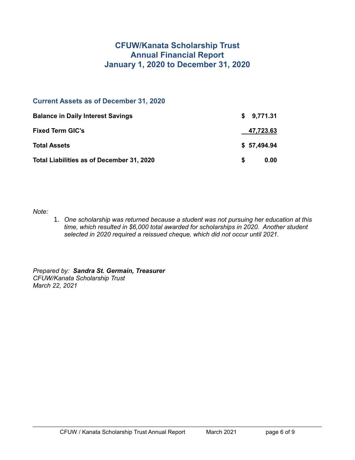#### **CFUW/Kanata Scholarship Trust Annual Financial Report January 1, 2020 to December 31, 2020**

#### **Current Assets as of December 31, 2020**

| <b>Balance in Daily Interest Savings</b>  | \$9,771.31       |
|-------------------------------------------|------------------|
| <b>Fixed Term GIC's</b>                   | <u>47,723.63</u> |
| <b>Total Assets</b>                       | \$57,494.94      |
| Total Liabilities as of December 31, 2020 | 0.00<br>S.       |

*Note:*

1. *One scholarship was returned because a student was not pursuing her education at this time, which resulted in \$6,000 total awarded for scholarships in 2020. Another student selected in 2020 required a reissued cheque, which did not occur until 2021.*

*Prepared by: Sandra St. Germain, Treasurer CFUW/Kanata Scholarship Trust March 22, 2021*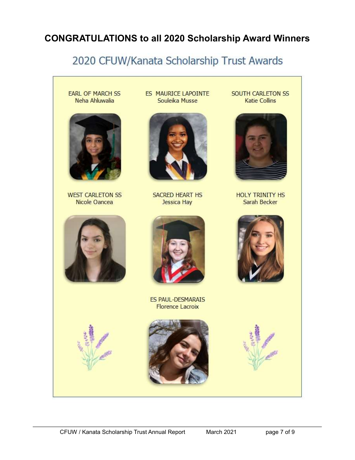## **CONGRATULATIONS to all 2020 Scholarship Award Winners**

# 2020 CFUW/Kanata Scholarship Trust Awards

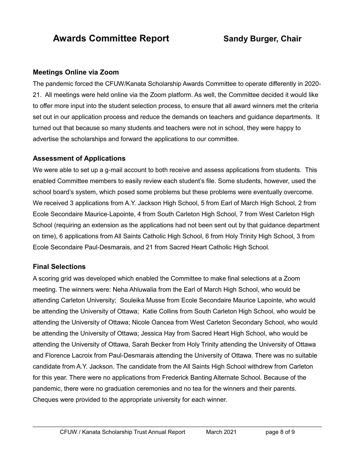## **Awards Committee Report Sandy Burger, Chair**

#### **Meetings Online via Zoom**

The pandemic forced the CFUW/Kanata Scholarship Awards Committee to operate differently in 2020- 21. All meetings were held online via the Zoom platform. As well, the Committee decided it would like to offer more input into the student selection process, to ensure that all award winners met the criteria set out in our application process and reduce the demands on teachers and guidance departments. It turned out that because so many students and teachers were not in school, they were happy to advertise the scholarships and forward the applications to our committee.

#### **Assessment of Applications**

We were able to set up a g-mail account to both receive and assess applications from students. This enabled Committee members to easily review each student's file. Some students, however, used the school board's system, which posed some problems but these problems were eventually overcome. We received 3 applications from A.Y. Jackson High School, 5 from Earl of March High School, 2 from Ecole Secondaire Maurice-Lapointe, 4 from South Carleton High School, 7 from West Carleton High School (requiring an extension as the applications had not been sent out by that guidance department on time), 6 applications from All Saints Catholic High School, 6 from Holy Trinity High School, 3 from Ecole Secondaire Paul-Desmarais, and 21 from Sacred Heart Catholic High School.

#### **Final Selections**

A scoring grid was developed which enabled the Committee to make final selections at a Zoom meeting. The winners were: Neha Ahluwalia from the Earl of March High School, who would be attending Carleton University; Souleika Musse from Ecole Secondaire Maurice Lapointe, who would be attending the University of Ottawa; Katie Collins from South Carleton High School, who would be attending the University of Ottawa; Nicole Oancea from West Carleton Secondary School, who would be attending the University of Ottawa; Jessica Hay from Sacred Heart High School, who would be attending the University of Ottawa, Sarah Becker from Holy Trinity attending the University of Ottawa and Florence Lacroix from Paul-Desmarais attending the University of Ottawa. There was no suitable candidate from A.Y. Jackson. The candidate from the All Saints High School withdrew from Carleton for this year. There were no applications from Frederick Banting Alternate School. Because of the pandemic, there were no graduation ceremonies and no tea for the winners and their parents. Cheques were provided to the appropriate university for each winner.